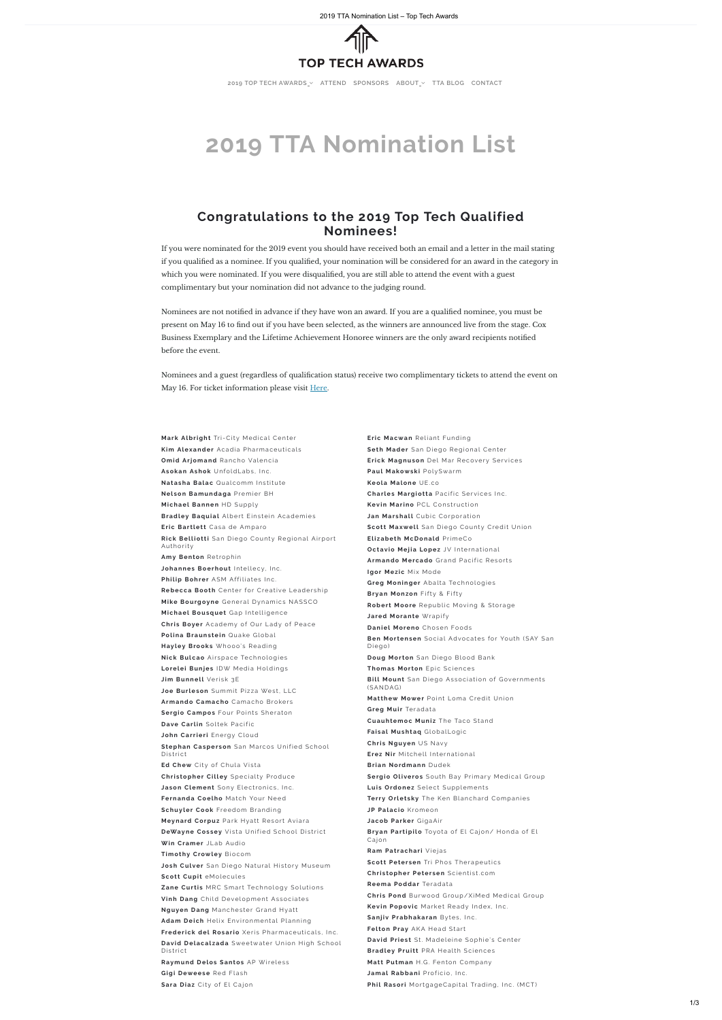# **2019 TTA Nomination List**

## **Congratulations to the 2019 Top Tech Qualified Nominees!**

If you were nominated for the 2019 event you should have received both an email and a letter in the mail stating if you qualified as a nominee. If you qualified, your nomination will be considered for an award in the category in which you were nominated. If you were disqualified, you are still able to attend the event with a guest complimentary but your nomination did not advance to the judging round.

Nominees are not notified in advance if they have won an award. If you are a qualified nominee, you must be present on May 16 to find out if you have been selected, as the winners are announced live from the stage. Cox Business Exemplary and the Lifetime Achievement Honoree winners are the only award recipients notified before the event.

Nominees and a guest (regardless of qualification status) receive two complimentary tickets to attend the event on May 16. For ticket information please visit [Here](https://toptechawards.com/attend/).

**Mark Albright** Tri-City Medical Center **Kim Alexander** Acadia Pharmaceuticals **Omid Ariomand** Rancho Valencia **Asokan Ashok** UnfoldLabs, Inc. **Natasha Balac** Qualcomm Institute **Nel son Bamundaga** Premier BH **Mi chael Bannen** HD Supply **Bradley Baquial** Albert Einstein Academies **Eric Bartlett** Casa de Amparo **Rick Belliotti** San Diego County Regional Airport Authorit y **Amy Benton** Retrophin Johannes Boerhout Intellecy, Inc. **Philip Bohrer** ASM Affiliates Inc. **Rebecca Booth** Center for Creative Leadership **Mike Bourgoyne** General Dynamics NASSCO **Michael Bousquet** Gap Intelligence **Chris Boyer** Academy of Our Lady of Peace **Polina Braunstein** Quake Global **Hayley Brooks** Whooo's Reading **Nick Bulcao** Airspace Technologies Lorelei Bunjes IDW Media Holdings **Jim Bunnell** Verisk 3E Joe Burleson Summit Pizza West, LLC Armando Camacho Camacho Brokers **Sergio Campos** Four Points Sheraton **Dave Carlin** Soltek Pacific **John Carrieri** Energy Cloud **Stephan Casperson** San Marcos Unified School District **Ed Chew** City of Chula Vista **Christopher Cilley** Specialty Produce Jason Clement Sony Electronics, Inc. **Fernanda Coelho** Match Your Need **Schuy ler Cook** Freedom Branding **Meynard Corpuz** Park Hyatt Resort Aviara **DeWayne Cossey** Vista Unified School District **Win Cramer** JLab Audio **Timothy Crowley** Biocom **Josh Culver** San Diego Natural History Museum **Scott Cupit** eMolecules **Zane Curtis MRC Smart Technology Solutions Vinh Dang** Child Development Associates **Nguyen Dang** Manchester Grand Hyatt **Adam Deich** Helix Environmental Planning **Frederick del Rosario** Xeris Pharmaceuticals, Inc. **David Delacalzada** Sweetwater Union High School District **Raymund Delos Santos** AP Wireles s **Gigi Deweese** Red Flash Sara Diaz City of El Cajon

**Eric Macwan** Reliant Funding **Seth Mader** San Diego Regional Center **Erick Magnuson** Del Mar Recovery Services **Paul Makowski PolySwarm Keola Malone** UE. co **Charles Margiotta** Pacific Services Inc. **Kevin Marino** PCL Construction **Jan Marshall** Cubic Corporation **Scott Maxwell** San Diego County Credit Union **Eli zabeth McDonald** PrimeCo **Oc tav io Mej ia Lopez** JV Interna tiona l Armando Mercado Grand Pacific Resorts **Igor Mezic Mix Mode Greg Moninger** Abalta Technologies **Bryan Monzon** Fifty & Fifty **Robert Moore** Republic Moving & Storage **Jared Morante** Wrapify **Daniel Moreno** Chosen Foods **Ben Mortensen** Social Advocates for Youth (SAY San Diego) **Doug Morton** San Diego Blood Bank **Thomas Morton** Epic Sciences **Bill Mount** San Diego Association of Governments (SANDAG) **Matthew Mower** Point Loma Credit Union **Greg Muir Teradata Cuauhtemoc Muniz The Taco Stand Faisal Mushtaq** GlobalLogic **Chri s Nguyen** US Nav y **Erez Nir** Mitchell International **Brian Nordmann** Dudek Sergio Oliveros South Bay Primary Medical Group **Luis Ordonez** Select Supplements **Terr y Orlet s k y** The Ken Bl ancha rd Companies **JP** Palacio Kromeon **Jacob Par ker** GigaAir Bryan Partipilo Toyota of El Cajon/ Honda of El Ca jon **Ram Patrachari** Viejas **Scott Petersen** Tri Phos Therapeutics **Christopher Petersen** Scientist.com **Reema Poddar** Teradata **Chris Pond** Burwood Group/XiMed Medical Group **Kevin Popovic** Market Ready Index Inc. **Sanjiv Prabhakaran** Bytes, Inc. **Felton Pray** AKA Head Start **David Priest** St. Madeleine Sophie's Center **Bradley Pruitt** PRA Health Sciences **Matt Putman** H.G. Fenton Company **Jamal Rabbani** Proficio, Inc. **Phil Rasori** MortgageCapital Trading, Inc. (MCT)

2019 TTA Nomination List – Top Tech Awards



**2019 TOP TECH [AWARDS](https://toptechawards.com/) [ATTEND](https://toptechawards.com/attend/) [SPONSORS](https://toptechawards.com/sponsors/) [ABOUT](https://toptechawards.com/about/) TTA [BLOG](https://toptechawards.com/blog-masonry-no-sidebar/) [CONTACT](https://toptechawards.com/about/contact/)**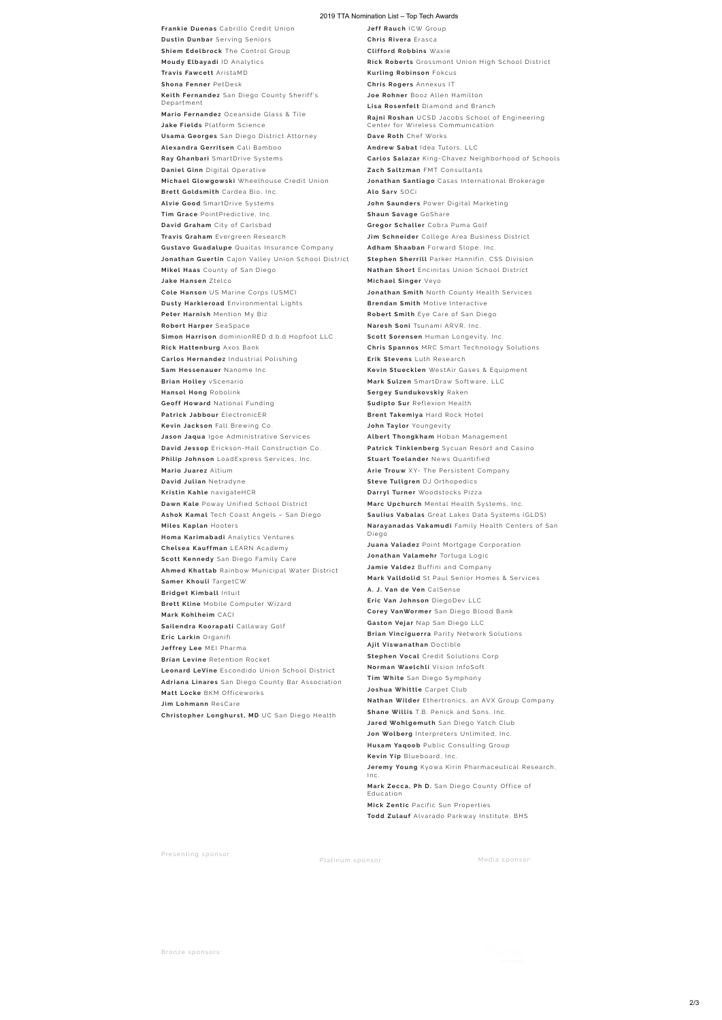#### 2019 TTA Nomination List - Top Tech Awards

**Frankie Duenas** Cabrillo Credit Union **Dustin Dunbar** Serving Seniors **Shiem Edelbrock** The Control Group **Moudy Elbayadi** ID Analytics **Travis Fawcett** AristaMD **Shona Fenner** PetDesk **Keith Fernandez** San Diego County Sheriff's Department **Mario Fernandez** Oceanside Glass & Tile **Jake Fields** Platform Science **Usama Georges** San Diego District Attorney **Alexandra Gerrit sen** Ca l i Bamboo **Ray Ghanbari** SmartDrive Systems **Daniel Ginn** Digital Operative **Mi chael Glowgows k i** Wheelhouse Credit Union **Brett Goldsmith** Cardea Bio, Inc. **Alvie Good** SmartDrive Systems **Tim Grace** PointPredictive, Inc. **David Graham** City of Carlsbad **Travis Graham** Evergreen Research **Gustavo Guadalupe** Quaitas Insurance Company Jonathan Guertin Cajon Valley Union School District **Mikel Haas** County of San Diego **Jake Hansen** Ztelco **Cole Hanson** US Marine Corps (USMC) **Dusty Harkleroad** Environmental Lights **Peter Harnish** Mention My Biz **Robert Harper** SeaSpace **Simon Harrison** dominionRED d.b.d Hopfoot LLC **Ri c k Hattenburg** Axos Bank **Carlos Hernandez** Industrial Polishing **Sam Hes senauer** Nanome Inc **Brian Holley** vScenario **Hansol Hong** Robolink **Geoff Howard** National Funding **Patrick Jabbour** ElectronicER **Kev in Jac k son** Fa l l Brew ing Co. **Jason Jaqua** Igoe Administrative Services **David Jessop** Erickson-Hall Construction Co. Philip Johnson LoadExpress Services, Inc. **Mario Juarez** Altium **David Julian** Netradyne **Kristin Kahle** navigateHCR Dawn Kale Poway Unified School District Ashok Kamal Tech Coast Angels - San Diego **Miles Kaplan** Hooter s **Homa Karimabadi** Analytics Ventures **Chel sea Kauffman** LEARN Ac ademy Scott Kennedy San Diego Family Care **Ahmed Khattab** Rainbow Municipal Water District **Samer Khouli** TargetCW **Bridget Kimball** Intuit **Brett Kline** Mobile Computer Wizard **Mar k Kohlheim** CACI Sailendra Koorapati Callaway Golf **Eri c Lar k in** Organifi **Jeffrey Lee** MEI Pharma **Brian Levine** Retention Rocket Leonard LeVine Escondido Union School District Adriana Linares San Diego County Bar Association **Matt Locke BKM Officeworks J im Lohmann** ResCa re **Chri s topher Longhur s t, MD** UC San Diego Hea lth

**Jeff Rauch** ICW Group **Chris Rivera** Erasca **Clifford Robbins Waxie Rick Roberts** Grossmont Union High School District **Kurling Robinson** Fokcus **Chri s Roger s** Annexus IT **Joe Rohner** Booz Allen Hamilton Lisa **Rosenfelt** Diamond and Branch **Rajni Roshan** UCSD Jacobs School of Engineering Center for Wireless Communication **Dave Roth** Chef Works Andrew Sabat Idea Tutors, LLC Carlos Salazar King-Chavez Neighborhood of Schools **Zach Saltzman** FMT Consultants Jonathan Santiago Casas International Brokerage **Alo Sar v** SOCi **John Saunders** Power Digital Marketing **Shaun Savage** GoShare **Gregor Schaller** Cobra Puma Golf **Jim Schneider** College Area Business District Adham Shaaban Forward Slope, Inc. **Stephen Sherrill** Parker Hannifin, CSS Division **Nathan Short** Encinitas Union School District **Mi chael Singer** Veyo Jonathan Smith North County Health Services **Brendan Smith** Motive Interactive **Robert Smith** Eye Care of San Diego **Naresh Soni** Tsunami ARVR, Inc . **Scott Sorensen** Human Longevity, Inc. **Chris Spannos** MRC Smart Technology Solutions **Erik Stevens** Luth Research **Kevin Stuecklen** WestAir Gases & Equipment **Mar k Sul zen** Sma rtDraw Soft wa re, LLC **Sergey Sundukovskiy Raken Sudipto Sur** Reflexion Health **Brent Takemiya Hard Rock Hotel John Taylor** Youngevity **Albert Thongkham** Hoban Management Patrick Tinklenberg Sycuan Resort and Casino **Stuart Toelander** News Quantified Arie Trouw XY- The Persistent Company **Steve Tullgren** DJ Orthopedics **Darryl Turner** Woodstocks Pizza Marc Upchurch Mental Health Systems, Inc. Saulius Vabalas Great Lakes Data Systems (GLDS) **Narayanadas Vakamudi** Family Health Centers of San Diego **Juana Valadez** Point Mortgage Corporation **Jonathan Valamehr Tortuga Logic Jamie Valdez** Buffini and Company **Mark Valldolid** St Paul Senior Homes & Services **A. J .Van de Ven** Ca lSense **Eri c Van Johnson** DiegoDev LLC **Corey VanWormer** San Diego Blood Bank **Gas ton Vejar** Nap San Diego LLC **Brian Vinciguerra** Parity Network Solutions **Aj it Vi swanathan** Doc tible **Stephen Vocal** Credit Solutions Corp **Norman Waelchli** Vision InfoSoft **Tim White** San Diego Symphony **Joshua Whittle** Carpet Club **Nathan Wilder** Ethertronics, an AVX Group Company **Shane Willis** T.B. Penick and Sons, Inc. **Jared Wohlgemuth** San Diego Yatch Club **Jon Wolberg** Interpreters Unlimited, Inc. **Husam Yaqoob** Public Consulting Group **Kevin Yip** Blueboard, Inc.

**Jeremy Young** Kyowa Kirin Pharmaceutical Research,

Inc .

**Mark Zecca, Ph D.** San Diego County Office of Education

**Mick Zentic** Pacific Sun Properties

**Todd Zulauf** Alvarado Parkway Institute, BHS

Presenting sponsor:

Platinum sponsor: Media sponsor

Bronze sponsors:

https://toptechawards.com/nominate/  $2/3$